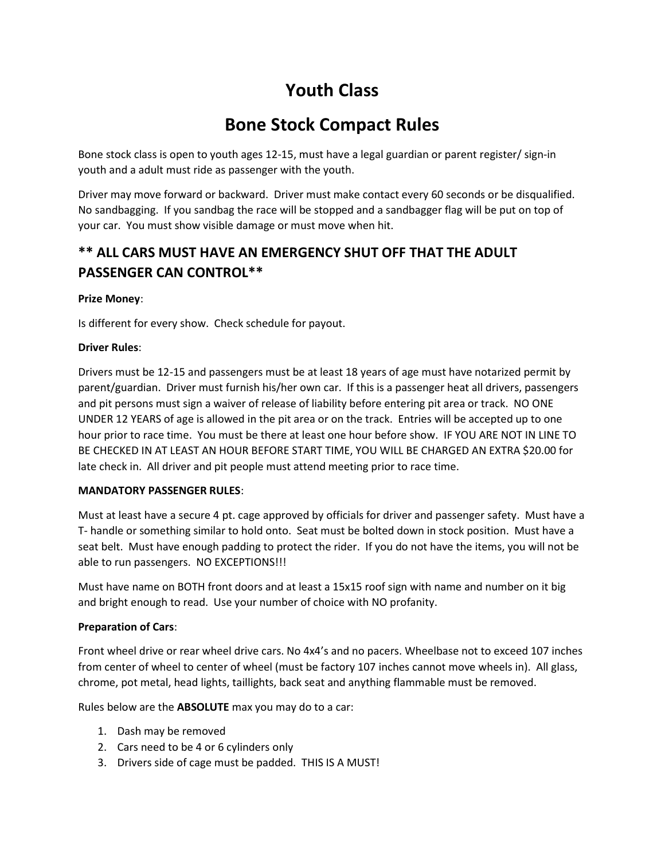# Youth Class

## Bone Stock Compact Rules

Bone stock class is open to youth ages 12-15, must have a legal guardian or parent register/ sign-in youth and a adult must ride as passenger with the youth.

Driver may move forward or backward. Driver must make contact every 60 seconds or be disqualified. No sandbagging. If you sandbag the race will be stopped and a sandbagger flag will be put on top of your car. You must show visible damage or must move when hit.

### \*\* ALL CARS MUST HAVE AN EMERGENCY SHUT OFF THAT THE ADULT PASSENGER CAN CONTROL\*\*

#### Prize Money:

Is different for every show. Check schedule for payout.

#### Driver Rules:

Drivers must be 12-15 and passengers must be at least 18 years of age must have notarized permit by parent/guardian. Driver must furnish his/her own car. If this is a passenger heat all drivers, passengers and pit persons must sign a waiver of release of liability before entering pit area or track. NO ONE UNDER 12 YEARS of age is allowed in the pit area or on the track. Entries will be accepted up to one hour prior to race time. You must be there at least one hour before show. IF YOU ARE NOT IN LINE TO BE CHECKED IN AT LEAST AN HOUR BEFORE START TIME, YOU WILL BE CHARGED AN EXTRA \$20.00 for late check in. All driver and pit people must attend meeting prior to race time.

#### MANDATORY PASSENGER RULES:

Must at least have a secure 4 pt. cage approved by officials for driver and passenger safety. Must have a T- handle or something similar to hold onto. Seat must be bolted down in stock position. Must have a seat belt. Must have enough padding to protect the rider. If you do not have the items, you will not be able to run passengers. NO EXCEPTIONS!!!

Must have name on BOTH front doors and at least a 15x15 roof sign with name and number on it big and bright enough to read. Use your number of choice with NO profanity.

#### Preparation of Cars:

Front wheel drive or rear wheel drive cars. No 4x4's and no pacers. Wheelbase not to exceed 107 inches from center of wheel to center of wheel (must be factory 107 inches cannot move wheels in). All glass, chrome, pot metal, head lights, taillights, back seat and anything flammable must be removed.

Rules below are the ABSOLUTE max you may do to a car:

- 1. Dash may be removed
- 2. Cars need to be 4 or 6 cylinders only
- 3. Drivers side of cage must be padded. THIS IS A MUST!